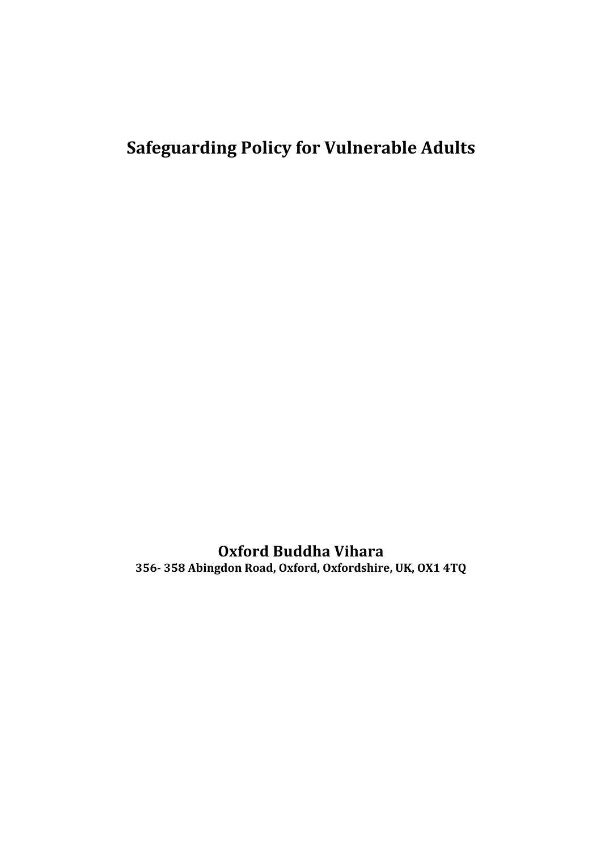# **Safeguarding Policy for Vulnerable Adults**

**Oxford Buddha Vihara 356- 358 Abingdon Road, Oxford, Oxfordshire, UK, OX1 4TQ**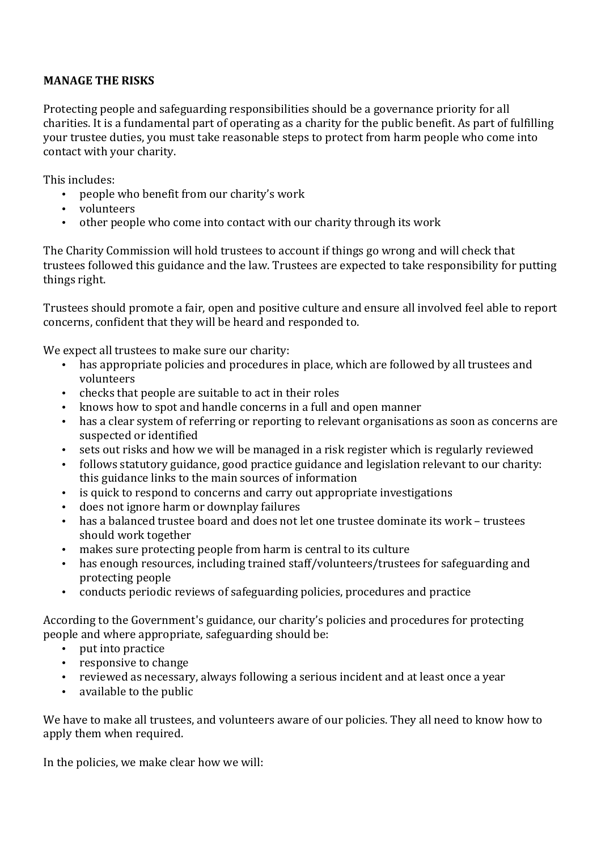# **MANAGE THE RISKS**

Protecting people and safeguarding responsibilities should be a governance priority for all charities. It is a fundamental part of operating as a charity for the public benefit. As part of fulfilling your trustee duties, you must take reasonable steps to protect from harm people who come into contact with your charity.

This includes:

- people who benefit from our charity's work
- volunteers
- other people who come into contact with our charity through its work

The Charity Commission will hold trustees to account if things go wrong and will check that trustees followed this guidance and the law. Trustees are expected to take responsibility for putting things right.

Trustees should promote a fair, open and positive culture and ensure all involved feel able to report concerns, confident that they will be heard and responded to.

We expect all trustees to make sure our charity:

- has appropriate policies and procedures in place, which are followed by all trustees and volunteers
- checks that people are suitable to act in their roles
- knows how to spot and handle concerns in a full and open manner
- has a clear system of referring or reporting to relevant organisations as soon as concerns are suspected or identified
- sets out risks and how we will be managed in a risk register which is regularly reviewed
- follows statutory guidance, good practice guidance and legislation relevant to our charity: this guidance links to the main sources of information
- is quick to respond to concerns and carry out appropriate investigations
- does not ignore harm or downplay failures
- has a balanced trustee board and does not let one trustee dominate its work trustees should work together
- makes sure protecting people from harm is central to its culture
- has enough resources, including trained staff/volunteers/trustees for safeguarding and protecting people
- conducts periodic reviews of safeguarding policies, procedures and practice

According to the Government's guidance, our charity's policies and procedures for protecting people and where appropriate, safeguarding should be:

- put into practice
- responsive to change
- reviewed as necessary, always following a serious incident and at least once a year
- available to the public

We have to make all trustees, and volunteers aware of our policies. They all need to know how to apply them when required.

In the policies, we make clear how we will: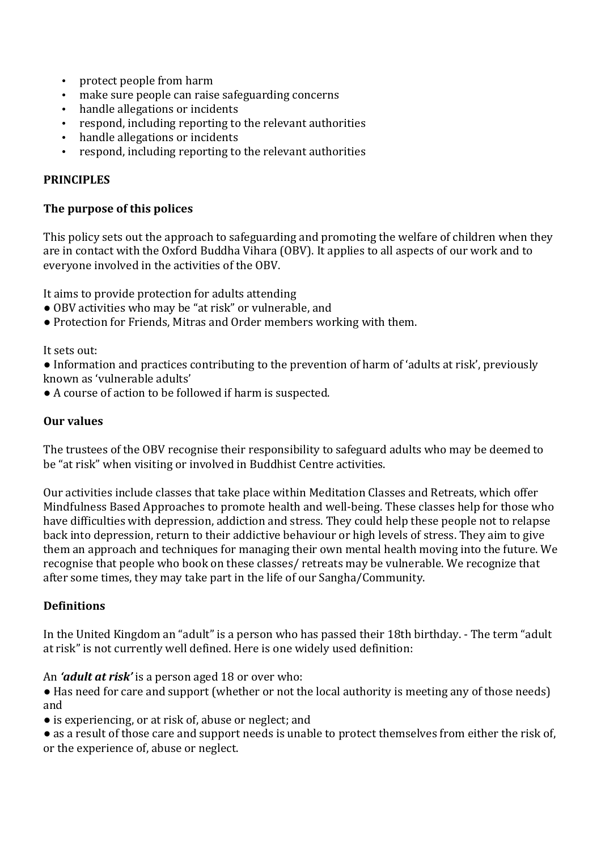- protect people from harm
- make sure people can raise safeguarding concerns
- handle allegations or incidents
- respond, including reporting to the relevant authorities
- handle allegations or incidents
- respond, including reporting to the relevant authorities

## **PRINCIPLES**

#### **The purpose of this polices**

This policy sets out the approach to safeguarding and promoting the welfare of children when they are in contact with the Oxford Buddha Vihara (OBV). It applies to all aspects of our work and to everyone involved in the activities of the OBV.

It aims to provide protection for adults attending

- OBV activities who may be "at risk" or vulnerable, and
- Protection for Friends, Mitras and Order members working with them.

It sets out:

• Information and practices contributing to the prevention of harm of 'adults at risk', previously known as 'vulnerable adults'

• A course of action to be followed if harm is suspected.

#### **Our values**

The trustees of the OBV recognise their responsibility to safeguard adults who may be deemed to be "at risk" when visiting or involved in Buddhist Centre activities.

Our activities include classes that take place within Meditation Classes and Retreats, which offer Mindfulness Based Approaches to promote health and well-being. These classes help for those who have difficulties with depression, addiction and stress. They could help these people not to relapse back into depression, return to their addictive behaviour or high levels of stress. They aim to give them an approach and techniques for managing their own mental health moving into the future. We recognise that people who book on these classes/ retreats may be vulnerable. We recognize that after some times, they may take part in the life of our Sangha/Community.

#### **Definitions**

In the United Kingdom an "adult" is a person who has passed their 18th birthday. - The term "adult" at risk" is not currently well defined. Here is one widely used definition:

#### An *'adult at risk'* is a person aged 18 or over who:

• Has need for care and support (whether or not the local authority is meeting any of those needs) and

- is experiencing, or at risk of, abuse or neglect; and
- as a result of those care and support needs is unable to protect themselves from either the risk of, or the experience of, abuse or neglect.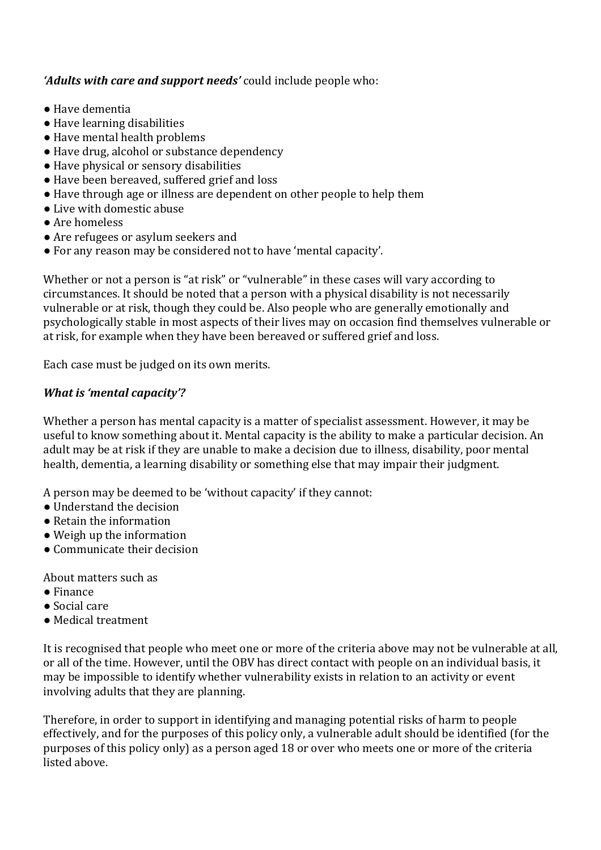# 'Adults with care and support needs' could include people who:

- Have dementia
- Have learning disabilities
- Have mental health problems
- Have drug, alcohol or substance dependency
- Have physical or sensory disabilities
- Have been bereaved, suffered grief and loss
- $\bullet$  Have through age or illness are dependent on other people to help them
- Live with domestic abuse
- Are homeless
- Are refugees or asylum seekers and
- For any reason may be considered not to have 'mental capacity'.

Whether or not a person is "at risk" or "vulnerable" in these cases will vary according to circumstances. It should be noted that a person with a physical disability is not necessarily vulnerable or at risk, though they could be. Also people who are generally emotionally and psychologically stable in most aspects of their lives may on occasion find themselves vulnerable or at risk, for example when they have been bereaved or suffered grief and loss.

Each case must be judged on its own merits.

# *What is 'mental capacity'?*

Whether a person has mental capacity is a matter of specialist assessment. However, it may be useful to know something about it. Mental capacity is the ability to make a particular decision. An adult may be at risk if they are unable to make a decision due to illness, disability, poor mental health, dementia, a learning disability or something else that may impair their judgment.

A person may be deemed to be 'without capacity' if they cannot:

- Understand the decision
- $\bullet$  Retain the information
- $\bullet$  Weigh up the information
- Communicate their decision

About matters such as

- Finance
- Social care
- Medical treatment

It is recognised that people who meet one or more of the criteria above may not be vulnerable at all. or all of the time. However, until the OBV has direct contact with people on an individual basis, it may be impossible to identify whether vulnerability exists in relation to an activity or event involving adults that they are planning.

Therefore, in order to support in identifying and managing potential risks of harm to people effectively, and for the purposes of this policy only, a vulnerable adult should be identified (for the purposes of this policy only) as a person aged 18 or over who meets one or more of the criteria listed above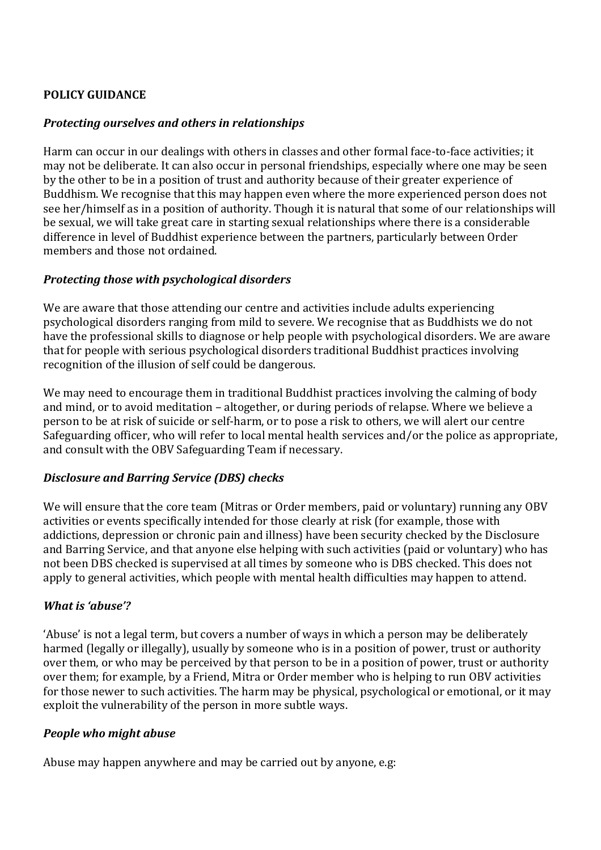# **POLICY GUIDANCE**

## *Protecting ourselves and others in relationships*

Harm can occur in our dealings with others in classes and other formal face-to-face activities; it may not be deliberate. It can also occur in personal friendships, especially where one may be seen by the other to be in a position of trust and authority because of their greater experience of Buddhism. We recognise that this may happen even where the more experienced person does not see her/himself as in a position of authority. Though it is natural that some of our relationships will be sexual, we will take great care in starting sexual relationships where there is a considerable difference in level of Buddhist experience between the partners, particularly between Order members and those not ordained.

## *Protecting those with psychological disorders*

We are aware that those attending our centre and activities include adults experiencing psychological disorders ranging from mild to severe. We recognise that as Buddhists we do not have the professional skills to diagnose or help people with psychological disorders. We are aware that for people with serious psychological disorders traditional Buddhist practices involving recognition of the illusion of self could be dangerous.

We may need to encourage them in traditional Buddhist practices involving the calming of body and mind, or to avoid meditation - altogether, or during periods of relapse. Where we believe a person to be at risk of suicide or self-harm, or to pose a risk to others, we will alert our centre Safeguarding officer, who will refer to local mental health services and/or the police as appropriate, and consult with the OBV Safeguarding Team if necessary.

# *Disclosure and Barring Service (DBS) checks*

We will ensure that the core team (Mitras or Order members, paid or voluntary) running any OBV activities or events specifically intended for those clearly at risk (for example, those with addictions, depression or chronic pain and illness) have been security checked by the Disclosure and Barring Service, and that anyone else helping with such activities (paid or voluntary) who has not been DBS checked is supervised at all times by someone who is DBS checked. This does not apply to general activities, which people with mental health difficulties may happen to attend.

# *What is 'abuse'?*

'Abuse' is not a legal term, but covers a number of ways in which a person may be deliberately harmed (legally or illegally), usually by someone who is in a position of power, trust or authority over them, or who may be perceived by that person to be in a position of power, trust or authority over them; for example, by a Friend, Mitra or Order member who is helping to run OBV activities for those newer to such activities. The harm may be physical, psychological or emotional, or it may exploit the vulnerability of the person in more subtle ways.

#### *People who might abuse*

Abuse may happen anywhere and may be carried out by anyone, e.g: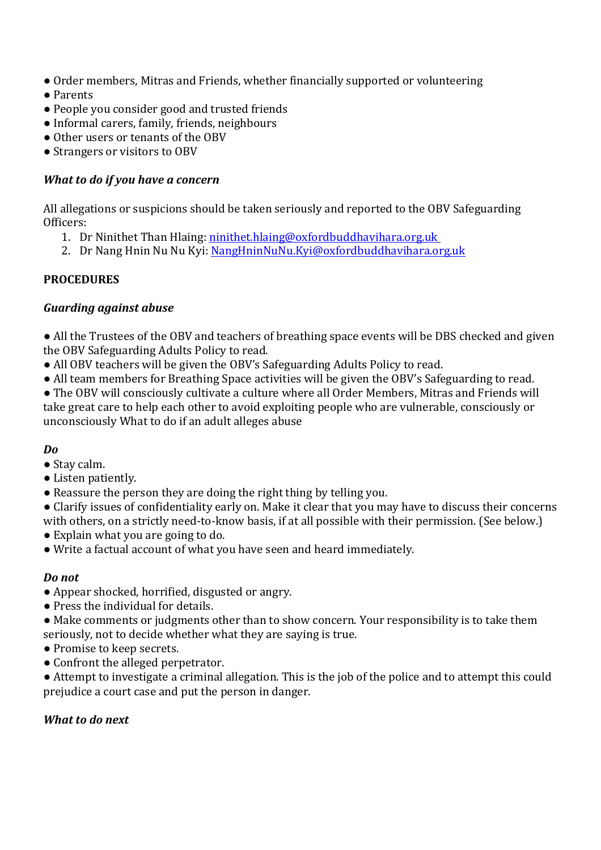- Order members, Mitras and Friends, whether financially supported or volunteering
- Parents
- People you consider good and trusted friends
- Informal carers, family, friends, neighbours
- Other users or tenants of the OBV
- Strangers or visitors to OBV

## *What to do if you have a concern*

All allegations or suspicions should be taken seriously and reported to the OBV Safeguarding Officers:

- 1. Dr Ninithet Than Hlaing: ninithet.hlaing@oxfordbuddhavihara.org.uk
- 2. Dr Nang Hnin Nu Nu Kyi: NangHninNuNu.Kyi@oxfordbuddhavihara.org.uk

#### **PROCEDURES**

## *Guarding against abuse*

• All the Trustees of the OBV and teachers of breathing space events will be DBS checked and given the OBV Safeguarding Adults Policy to read.

- All OBV teachers will be given the OBV's Safeguarding Adults Policy to read.
- All team members for Breathing Space activities will be given the OBV's Safeguarding to read.

• The OBV will consciously cultivate a culture where all Order Members, Mitras and Friends will take great care to help each other to avoid exploiting people who are vulnerable, consciously or unconsciously What to do if an adult alleges abuse

#### *Do*

- Stav calm.
- Listen patiently.
- $\bullet$  Reassure the person they are doing the right thing by telling you.
- Clarify issues of confidentiality early on. Make it clear that you may have to discuss their concerns

with others, on a strictly need-to-know basis, if at all possible with their permission. (See below.)

- Explain what you are going to do.
- Write a factual account of what you have seen and heard immediately.

#### *Do not*

- Appear shocked, horrified, disgusted or angry.
- $\bullet$  Press the individual for details.
- Make comments or judgments other than to show concern. Your responsibility is to take them seriously, not to decide whether what they are saying is true.
- Promise to keep secrets.
- Confront the alleged perpetrator.

• Attempt to investigate a criminal allegation. This is the job of the police and to attempt this could prejudice a court case and put the person in danger.

# *What to do next*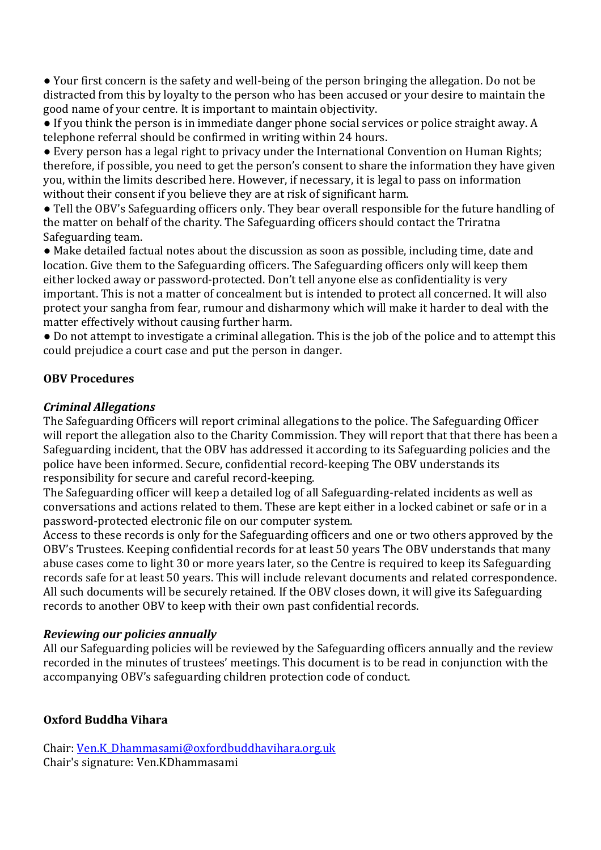• Your first concern is the safety and well-being of the person bringing the allegation. Do not be distracted from this by loyalty to the person who has been accused or your desire to maintain the good name of your centre. It is important to maintain objectivity.

• If you think the person is in immediate danger phone social services or police straight away. A telephone referral should be confirmed in writing within 24 hours.

• Every person has a legal right to privacy under the International Convention on Human Rights; therefore, if possible, you need to get the person's consent to share the information they have given you, within the limits described here. However, if necessary, it is legal to pass on information without their consent if you believe they are at risk of significant harm.

• Tell the OBV's Safeguarding officers only. They bear overall responsible for the future handling of the matter on behalf of the charity. The Safeguarding officers should contact the Triratna Safeguarding team.

• Make detailed factual notes about the discussion as soon as possible, including time, date and location. Give them to the Safeguarding officers. The Safeguarding officers only will keep them either locked away or password-protected. Don't tell anyone else as confidentiality is very important. This is not a matter of concealment but is intended to protect all concerned. It will also protect your sangha from fear, rumour and disharmony which will make it harder to deal with the matter effectively without causing further harm.

• Do not attempt to investigate a criminal allegation. This is the job of the police and to attempt this could prejudice a court case and put the person in danger.

## **OBV Procedures**

#### *Criminal Allegations*

The Safeguarding Officers will report criminal allegations to the police. The Safeguarding Officer will report the allegation also to the Charity Commission. They will report that that there has been a Safeguarding incident, that the OBV has addressed it according to its Safeguarding policies and the police have been informed. Secure, confidential record-keeping The OBV understands its responsibility for secure and careful record-keeping.

The Safeguarding officer will keep a detailed log of all Safeguarding-related incidents as well as conversations and actions related to them. These are kept either in a locked cabinet or safe or in a password-protected electronic file on our computer system.

Access to these records is only for the Safeguarding officers and one or two others approved by the OBV's Trustees. Keeping confidential records for at least 50 years The OBV understands that many abuse cases come to light 30 or more years later, so the Centre is required to keep its Safeguarding records safe for at least 50 years. This will include relevant documents and related correspondence. All such documents will be securely retained. If the OBV closes down, it will give its Safeguarding records to another OBV to keep with their own past confidential records.

#### *Reviewing our policies annually*

All our Safeguarding policies will be reviewed by the Safeguarding officers annually and the review recorded in the minutes of trustees' meetings. This document is to be read in conjunction with the accompanying OBV's safeguarding children protection code of conduct.

# **Oxford Buddha Vihara**

Chair: Ven.K\_Dhammasami@oxfordbuddhavihara.org.uk Chair's signature: Ven.KDhammasami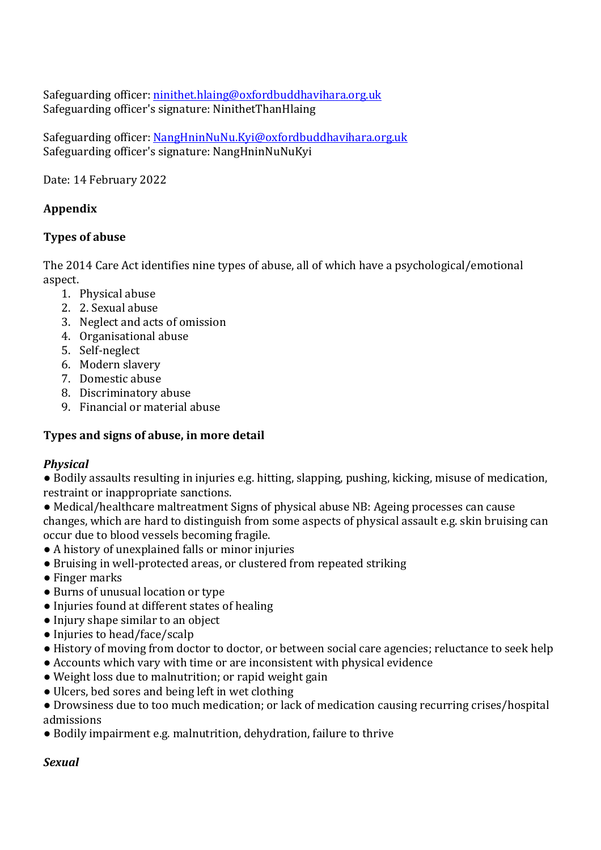Safeguarding officer: ninithet.hlaing@oxfordbuddhavihara.org.uk Safeguarding officer's signature: NinithetThanHlaing

Safeguarding officer: NangHninNuNu.Kyi@oxfordbuddhavihara.org.uk Safeguarding officer's signature: NangHninNuNuKyi

Date: 14 February 2022

# **Appendix**

## **Types of abuse**

The 2014 Care Act identifies nine types of abuse, all of which have a psychological/emotional aspect.

- 1. Physical abuse
- 2. 2. Sexual abuse
- 3. Neglect and acts of omission
- 4. Organisational abuse
- 5. Self-neglect
- 6. Modern slavery
- 7. Domestic abuse
- 8. Discriminatory abuse
- 9. Financial or material abuse

# **Types and signs of abuse, in more detail**

#### *Physical*

• Bodily assaults resulting in injuries e.g. hitting, slapping, pushing, kicking, misuse of medication, restraint or inappropriate sanctions.

• Medical/healthcare maltreatment Signs of physical abuse NB: Ageing processes can cause changes, which are hard to distinguish from some aspects of physical assault e.g. skin bruising can occur due to blood vessels becoming fragile.

- A history of unexplained falls or minor injuries
- Bruising in well-protected areas, or clustered from repeated striking
- Finger marks
- Burns of unusual location or type
- Injuries found at different states of healing
- Injury shape similar to an object
- Injuries to head/face/scalp
- History of moving from doctor to doctor, or between social care agencies; reluctance to seek help
- Accounts which vary with time or are inconsistent with physical evidence
- Weight loss due to malnutrition; or rapid weight gain
- Ulcers, bed sores and being left in wet clothing

• Drowsiness due to too much medication; or lack of medication causing recurring crises/hospital admissions

• Bodily impairment e.g. malnutrition, dehydration, failure to thrive

#### *Sexual*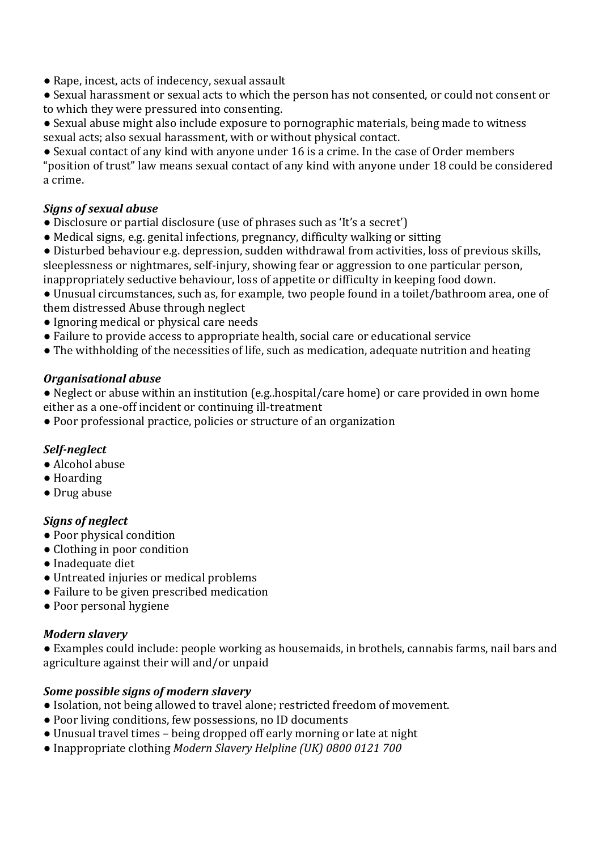• Rape, incest, acts of indecency, sexual assault

• Sexual harassment or sexual acts to which the person has not consented, or could not consent or to which they were pressured into consenting.

• Sexual abuse might also include exposure to pornographic materials, being made to witness sexual acts; also sexual harassment, with or without physical contact.

• Sexual contact of any kind with anyone under 16 is a crime. In the case of Order members "position of trust" law means sexual contact of any kind with anyone under 18 could be considered a crime.

## *Signs of sexual abuse*

- Disclosure or partial disclosure (use of phrases such as 'It's a secret')
- Medical signs, e.g. genital infections, pregnancy, difficulty walking or sitting
- Disturbed behaviour e.g. depression, sudden withdrawal from activities, loss of previous skills, sleeplessness or nightmares, self-injury, showing fear or aggression to one particular person, inappropriately seductive behaviour, loss of appetite or difficulty in keeping food down.

• Unusual circumstances, such as, for example, two people found in a toilet/bathroom area, one of them distressed Abuse through neglect

- Ignoring medical or physical care needs
- Failure to provide access to appropriate health, social care or educational service
- $\bullet$  The withholding of the necessities of life, such as medication, adequate nutrition and heating

#### *Organisational abuse*

• Neglect or abuse within an institution (e.g. hospital/care home) or care provided in own home either as a one-off incident or continuing ill-treatment

• Poor professional practice, policies or structure of an organization

#### *Self-neglect*

- Alcohol abuse
- Hoarding
- Drug abuse

#### *Signs of neglect*

- Poor physical condition
- Clothing in poor condition
- Inadequate diet
- Untreated injuries or medical problems
- Failure to be given prescribed medication
- Poor personal hygiene

# *Modern slavery*

• Examples could include: people working as housemaids, in brothels, cannabis farms, nail bars and agriculture against their will and/or unpaid

#### *Some possible signs of modern slavery*

- Isolation, not being allowed to travel alone; restricted freedom of movement.
- Poor living conditions, few possessions, no ID documents
- Unusual travel times being dropped off early morning or late at night
- Inappropriate clothing *Modern Slavery Helpline* (UK) 0800 0121 700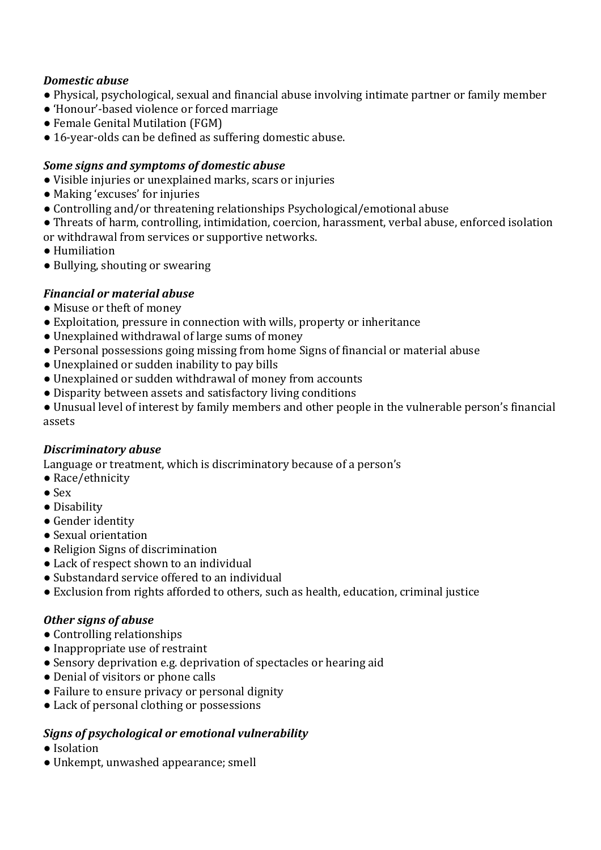# *Domestic abuse*

- Physical, psychological, sexual and financial abuse involving intimate partner or family member
- 'Honour'-based violence or forced marriage
- Female Genital Mutilation (FGM)
- 16-year-olds can be defined as suffering domestic abuse.

## **Some signs and symptoms of domestic abuse**

- Visible injuries or unexplained marks, scars or injuries
- Making 'excuses' for injuries
- Controlling and/or threatening relationships Psychological/emotional abuse
- Threats of harm, controlling, intimidation, coercion, harassment, verbal abuse, enforced isolation

or withdrawal from services or supportive networks.

- Humiliation
- Bullying, shouting or swearing

# *Financial or material abuse*

- Misuse or theft of money
- Exploitation, pressure in connection with wills, property or inheritance
- Unexplained withdrawal of large sums of money
- Personal possessions going missing from home Signs of financial or material abuse
- Unexplained or sudden inability to pay bills
- Unexplained or sudden withdrawal of money from accounts
- Disparity between assets and satisfactory living conditions

• Unusual level of interest by family members and other people in the vulnerable person's financial assets

#### *Discriminatory abuse*

Language or treatment, which is discriminatory because of a person's

- Race/ethnicity
- Sex
- Disability
- Gender identity
- Sexual orientation
- Religion Signs of discrimination
- Lack of respect shown to an individual
- Substandard service offered to an individual
- Exclusion from rights afforded to others, such as health, education, criminal justice

#### **Other signs of abuse**

- Controlling relationships
- Inappropriate use of restraint
- Sensory deprivation e.g. deprivation of spectacles or hearing aid
- Denial of visitors or phone calls
- Failure to ensure privacy or personal dignity
- Lack of personal clothing or possessions

# Signs of psychological or emotional vulnerability

- Isolation
- Unkempt, unwashed appearance; smell